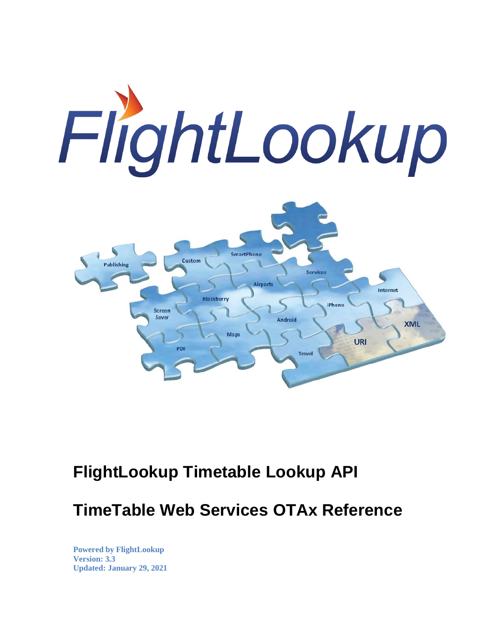

## **FlightLookup Timetable Lookup API**

**TimeTable Web Services OTAx Reference**

**Powered by FlightLookup Version: 3.3 Updated: January 29, 2021**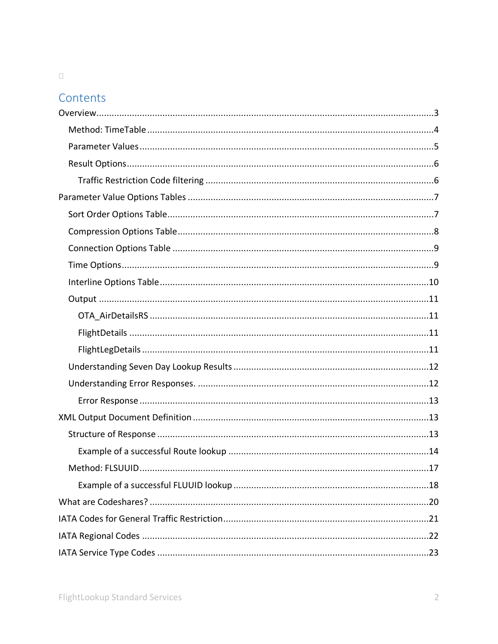### $\Box$

### Contents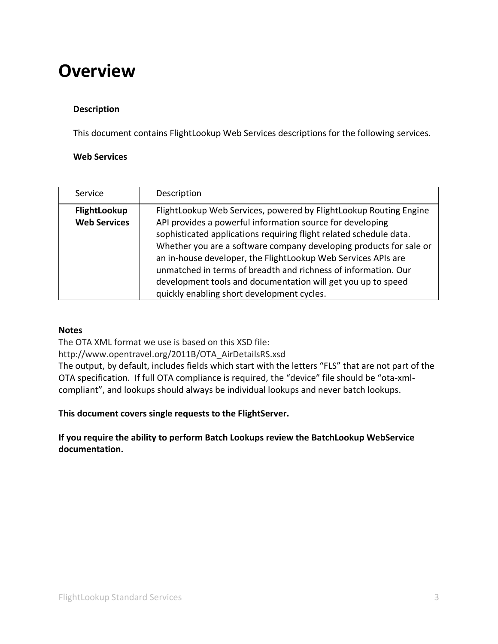## <span id="page-2-0"></span>**Overview**

### **Description**

This document contains FlightLookup Web Services descriptions for the following services.

### **Web Services**

| Service                                    | Description                                                                                                                                                                                                                                                                                                                                                                                                                                                                                                                 |
|--------------------------------------------|-----------------------------------------------------------------------------------------------------------------------------------------------------------------------------------------------------------------------------------------------------------------------------------------------------------------------------------------------------------------------------------------------------------------------------------------------------------------------------------------------------------------------------|
| <b>FlightLookup</b><br><b>Web Services</b> | FlightLookup Web Services, powered by FlightLookup Routing Engine<br>API provides a powerful information source for developing<br>sophisticated applications requiring flight related schedule data.<br>Whether you are a software company developing products for sale or<br>an in-house developer, the FlightLookup Web Services APIs are<br>unmatched in terms of breadth and richness of information. Our<br>development tools and documentation will get you up to speed<br>quickly enabling short development cycles. |

#### **Notes**

The OTA XML format we use is based on this XSD file:

http://www.opentravel.org/2011B/OTA\_AirDetailsRS.xsd

The output, by default, includes fields which start with the letters "FLS" that are not part of the OTA specification. If full OTA compliance is required, the "device" file should be "ota-xmlcompliant", and lookups should always be individual lookups and never batch lookups.

**This document covers single requests to the FlightServer.** 

**If you require the ability to perform Batch Lookups review the BatchLookup WebService documentation.**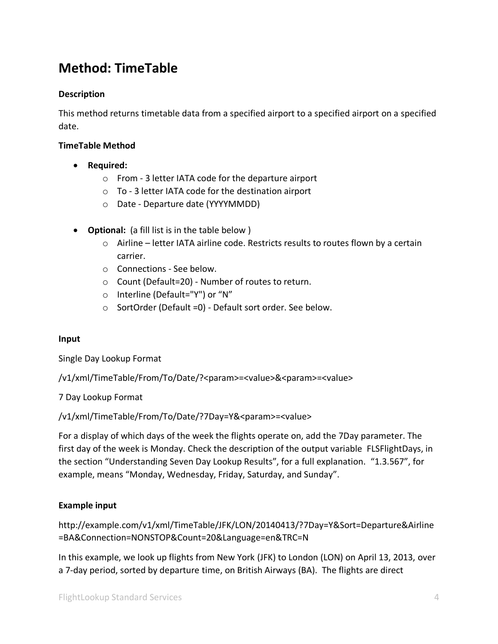## <span id="page-3-0"></span>**Method: TimeTable**

### **Description**

This method returns timetable data from a specified airport to a specified airport on a specified date.

### **TimeTable Method**

- **Required:**
	- o From 3 letter IATA code for the departure airport
	- o To 3 letter IATA code for the destination airport
	- o Date Departure date (YYYYMMDD)
- **Optional:** (a fill list is in the table below )
	- $\circ$  Airline letter IATA airline code. Restricts results to routes flown by a certain carrier.
	- o Connections See below.
	- o Count (Default=20) Number of routes to return.
	- o Interline (Default="Y") or "N"
	- o SortOrder (Default =0) Default sort order. See below.

#### **Input**

Single Day Lookup Format

/v1/xml/TimeTable/From/To/Date/?<param>=<value>&<param>=<value>

#### 7 Day Lookup Format

/v1/xml/TimeTable/From/To/Date/?7Day=Y&<param>=<value>

For a display of which days of the week the flights operate on, add the 7Day parameter. The first day of the week is Monday. Check the description of the output variable FLSFlightDays, in the section "Understanding Seven Day Lookup Results", for a full explanation. "1.3.567", for example, means "Monday, Wednesday, Friday, Saturday, and Sunday".

### **Example input**

http://example.com/v1/xml/TimeTable/JFK/LON/20140413/?7Day=Y&Sort=Departure&Airline =BA&Connection=NONSTOP&Count=20&Language=en&TRC=N

In this example, we look up flights from New York (JFK) to London (LON) on April 13, 2013, over a 7-day period, sorted by departure time, on British Airways (BA). The flights are direct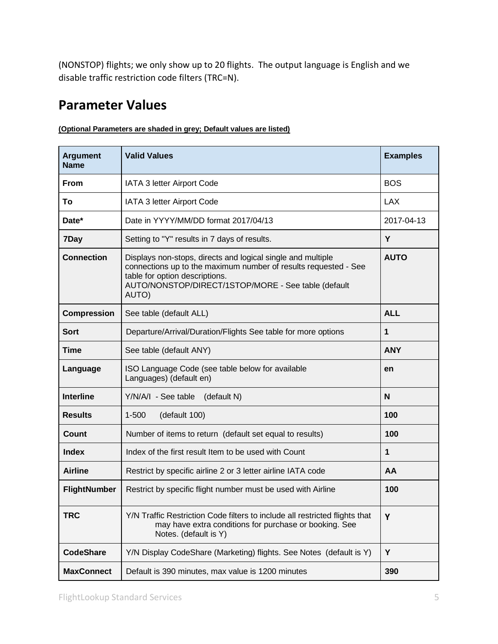(NONSTOP) flights; we only show up to 20 flights. The output language is English and we disable traffic restriction code filters (TRC=N).

### <span id="page-4-0"></span>**Parameter Values**

| <b>Argument</b><br><b>Name</b> | <b>Valid Values</b>                                                                                                                                                                                                              | <b>Examples</b> |
|--------------------------------|----------------------------------------------------------------------------------------------------------------------------------------------------------------------------------------------------------------------------------|-----------------|
| <b>From</b>                    | IATA 3 letter Airport Code                                                                                                                                                                                                       | <b>BOS</b>      |
| To                             | IATA 3 letter Airport Code                                                                                                                                                                                                       | <b>LAX</b>      |
| Date*                          | Date in YYYY/MM/DD format 2017/04/13                                                                                                                                                                                             | 2017-04-13      |
| 7Day                           | Setting to "Y" results in 7 days of results.                                                                                                                                                                                     | Y               |
| <b>Connection</b>              | Displays non-stops, directs and logical single and multiple<br>connections up to the maximum number of results requested - See<br>table for option descriptions.<br>AUTO/NONSTOP/DIRECT/1STOP/MORE - See table (default<br>AUTO) | <b>AUTO</b>     |
| <b>Compression</b>             | See table (default ALL)                                                                                                                                                                                                          | <b>ALL</b>      |
| <b>Sort</b>                    | Departure/Arrival/Duration/Flights See table for more options                                                                                                                                                                    | 1               |
| <b>Time</b>                    | See table (default ANY)                                                                                                                                                                                                          | <b>ANY</b>      |
| Language                       | ISO Language Code (see table below for available<br>Languages) (default en)                                                                                                                                                      | en              |
| <b>Interline</b>               | Y/N/A/I - See table<br>(default N)                                                                                                                                                                                               | N               |
| <b>Results</b>                 | (default 100)<br>$1 - 500$                                                                                                                                                                                                       | 100             |
| Count                          | Number of items to return (default set equal to results)                                                                                                                                                                         | 100             |
| <b>Index</b>                   | Index of the first result Item to be used with Count                                                                                                                                                                             | 1               |
| <b>Airline</b>                 | Restrict by specific airline 2 or 3 letter airline IATA code                                                                                                                                                                     | AA              |
| <b>FlightNumber</b>            | Restrict by specific flight number must be used with Airline                                                                                                                                                                     | 100             |
| <b>TRC</b>                     | Y/N Traffic Restriction Code filters to include all restricted flights that<br>may have extra conditions for purchase or booking. See<br>Notes. (default is Y)                                                                   | Y               |
| <b>CodeShare</b>               | Y/N Display CodeShare (Marketing) flights. See Notes (default is Y)                                                                                                                                                              | Y               |
| <b>MaxConnect</b>              | Default is 390 minutes, max value is 1200 minutes                                                                                                                                                                                | 390             |

### **(Optional Parameters are shaded in grey; Default values are listed)**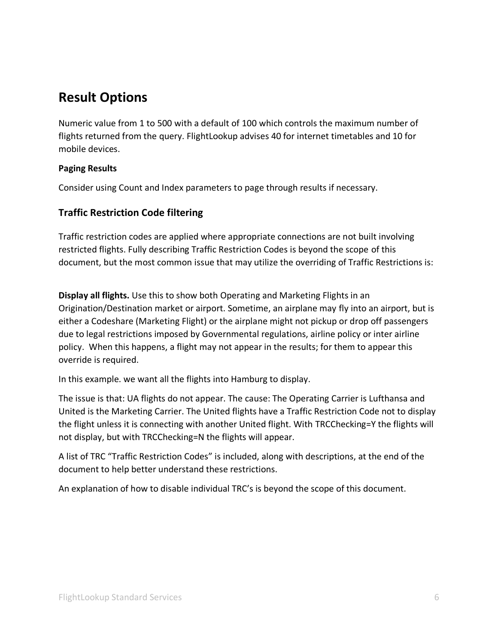## <span id="page-5-0"></span>**Result Options**

Numeric value from 1 to 500 with a default of 100 which controls the maximum number of flights returned from the query. FlightLookup advises 40 for internet timetables and 10 for mobile devices.

### **Paging Results**

Consider using Count and Index parameters to page through results if necessary.

### <span id="page-5-1"></span>**Traffic Restriction Code filtering**

Traffic restriction codes are applied where appropriate connections are not built involving restricted flights. Fully describing Traffic Restriction Codes is beyond the scope of this document, but the most common issue that may utilize the overriding of Traffic Restrictions is:

**Display all flights.** Use this to show both Operating and Marketing Flights in an Origination/Destination market or airport. Sometime, an airplane may fly into an airport, but is either a Codeshare (Marketing Flight) or the airplane might not pickup or drop off passengers due to legal restrictions imposed by Governmental regulations, airline policy or inter airline policy. When this happens, a flight may not appear in the results; for them to appear this override is required.

In this example. we want all the flights into Hamburg to display.

The issue is that: UA flights do not appear. The cause: The Operating Carrier is Lufthansa and United is the Marketing Carrier. The United flights have a Traffic Restriction Code not to display the flight unless it is connecting with another United flight. With TRCChecking=Y the flights will not display, but with TRCChecking=N the flights will appear.

A list of TRC "Traffic Restriction Codes" is included, along with descriptions, at the end of the document to help better understand these restrictions.

An explanation of how to disable individual TRC's is beyond the scope of this document.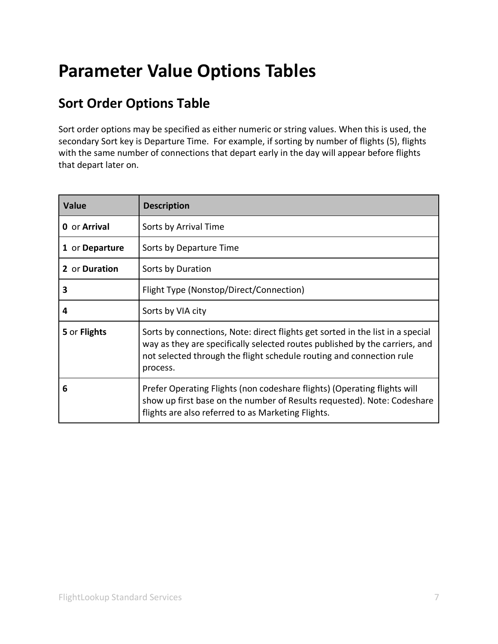# <span id="page-6-0"></span>**Parameter Value Options Tables**

## <span id="page-6-1"></span>**Sort Order Options Table**

Sort order options may be specified as either numeric or string values. When this is used, the secondary Sort key is Departure Time. For example, if sorting by number of flights (5), flights with the same number of connections that depart early in the day will appear before flights that depart later on.

| <b>Value</b>   | <b>Description</b>                                                                                                                                                                                                                                |
|----------------|---------------------------------------------------------------------------------------------------------------------------------------------------------------------------------------------------------------------------------------------------|
| 0 or Arrival   | Sorts by Arrival Time                                                                                                                                                                                                                             |
| 1 or Departure | Sorts by Departure Time                                                                                                                                                                                                                           |
| 2 or Duration  | Sorts by Duration                                                                                                                                                                                                                                 |
| 3              | Flight Type (Nonstop/Direct/Connection)                                                                                                                                                                                                           |
| 4              | Sorts by VIA city                                                                                                                                                                                                                                 |
| 5 or Flights   | Sorts by connections, Note: direct flights get sorted in the list in a special<br>way as they are specifically selected routes published by the carriers, and<br>not selected through the flight schedule routing and connection rule<br>process. |
| 6              | Prefer Operating Flights (non codeshare flights) (Operating flights will<br>show up first base on the number of Results requested). Note: Codeshare<br>flights are also referred to as Marketing Flights.                                         |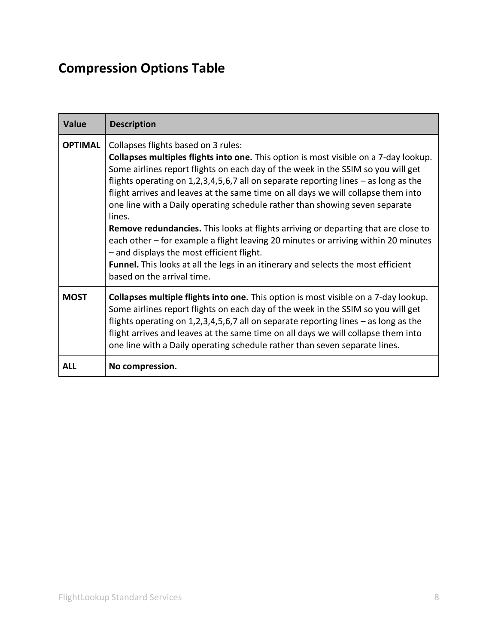## <span id="page-7-0"></span>**Compression Options Table**

| <b>Value</b>   | <b>Description</b>                                                                                                                                                                                                                                                                                                                                                                                                                                                                                                                                                                                                                                                                                                                                                                                                                               |
|----------------|--------------------------------------------------------------------------------------------------------------------------------------------------------------------------------------------------------------------------------------------------------------------------------------------------------------------------------------------------------------------------------------------------------------------------------------------------------------------------------------------------------------------------------------------------------------------------------------------------------------------------------------------------------------------------------------------------------------------------------------------------------------------------------------------------------------------------------------------------|
| <b>OPTIMAL</b> | Collapses flights based on 3 rules:<br>Collapses multiples flights into one. This option is most visible on a 7-day lookup.<br>Some airlines report flights on each day of the week in the SSIM so you will get<br>flights operating on 1,2,3,4,5,6,7 all on separate reporting lines $-$ as long as the<br>flight arrives and leaves at the same time on all days we will collapse them into<br>one line with a Daily operating schedule rather than showing seven separate<br>lines.<br><b>Remove redundancies.</b> This looks at flights arriving or departing that are close to<br>each other – for example a flight leaving 20 minutes or arriving within 20 minutes<br>- and displays the most efficient flight.<br><b>Funnel.</b> This looks at all the legs in an itinerary and selects the most efficient<br>based on the arrival time. |
| <b>MOST</b>    | Collapses multiple flights into one. This option is most visible on a 7-day lookup.<br>Some airlines report flights on each day of the week in the SSIM so you will get<br>flights operating on $1,2,3,4,5,6,7$ all on separate reporting lines $-$ as long as the<br>flight arrives and leaves at the same time on all days we will collapse them into<br>one line with a Daily operating schedule rather than seven separate lines.                                                                                                                                                                                                                                                                                                                                                                                                            |
| <b>ALL</b>     | No compression.                                                                                                                                                                                                                                                                                                                                                                                                                                                                                                                                                                                                                                                                                                                                                                                                                                  |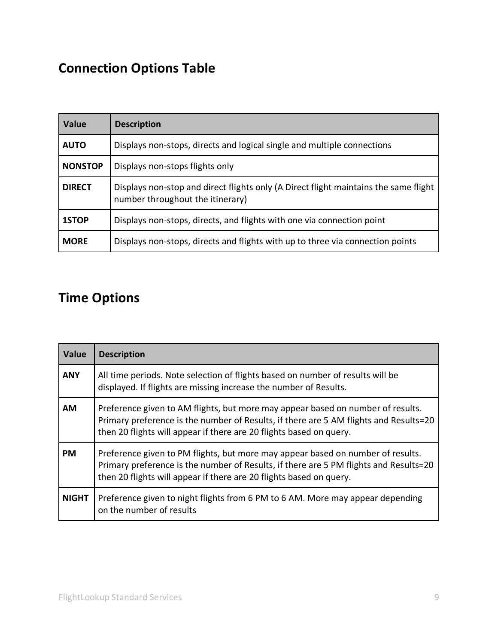## <span id="page-8-0"></span>**Connection Options Table**

| Value          | <b>Description</b>                                                                                                       |
|----------------|--------------------------------------------------------------------------------------------------------------------------|
| <b>AUTO</b>    | Displays non-stops, directs and logical single and multiple connections                                                  |
| <b>NONSTOP</b> | Displays non-stops flights only                                                                                          |
| <b>DIRECT</b>  | Displays non-stop and direct flights only (A Direct flight maintains the same flight<br>number throughout the itinerary) |
| 1STOP          | Displays non-stops, directs, and flights with one via connection point                                                   |
| <b>MORE</b>    | Displays non-stops, directs and flights with up to three via connection points                                           |

## <span id="page-8-1"></span>**Time Options**

| <b>Value</b> | <b>Description</b>                                                                                                                                                                                                                              |
|--------------|-------------------------------------------------------------------------------------------------------------------------------------------------------------------------------------------------------------------------------------------------|
| <b>ANY</b>   | All time periods. Note selection of flights based on number of results will be<br>displayed. If flights are missing increase the number of Results.                                                                                             |
| <b>AM</b>    | Preference given to AM flights, but more may appear based on number of results.<br>Primary preference is the number of Results, if there are 5 AM flights and Results=20<br>then 20 flights will appear if there are 20 flights based on query. |
| <b>PM</b>    | Preference given to PM flights, but more may appear based on number of results.<br>Primary preference is the number of Results, if there are 5 PM flights and Results=20<br>then 20 flights will appear if there are 20 flights based on query. |
| <b>NIGHT</b> | Preference given to night flights from 6 PM to 6 AM. More may appear depending<br>on the number of results                                                                                                                                      |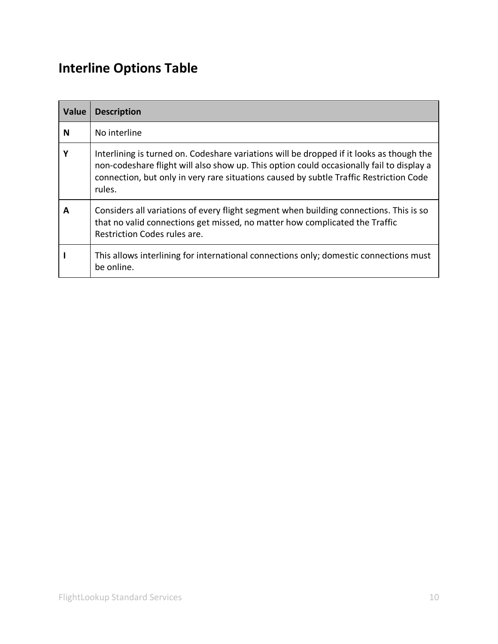## <span id="page-9-0"></span>**Interline Options Table**

| <b>Value</b> | <b>Description</b>                                                                                                                                                                                                                                                                       |
|--------------|------------------------------------------------------------------------------------------------------------------------------------------------------------------------------------------------------------------------------------------------------------------------------------------|
| N            | No interline                                                                                                                                                                                                                                                                             |
| Υ            | Interlining is turned on. Codeshare variations will be dropped if it looks as though the<br>non-codeshare flight will also show up. This option could occasionally fail to display a<br>connection, but only in very rare situations caused by subtle Traffic Restriction Code<br>rules. |
| A            | Considers all variations of every flight segment when building connections. This is so<br>that no valid connections get missed, no matter how complicated the Traffic<br>Restriction Codes rules are.                                                                                    |
|              | This allows interlining for international connections only; domestic connections must<br>be online.                                                                                                                                                                                      |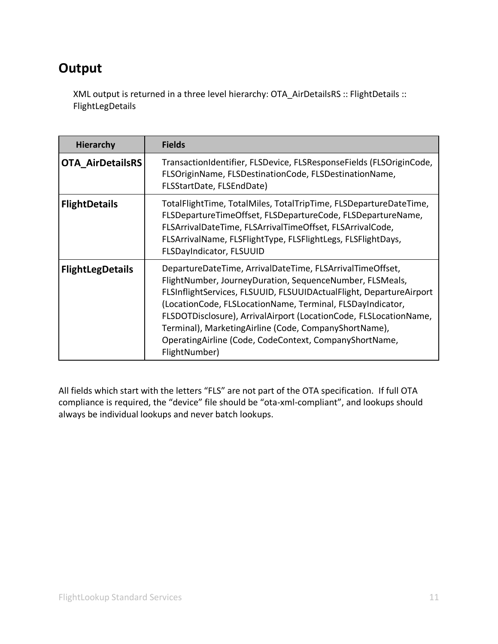## <span id="page-10-0"></span>**Output**

XML output is returned in a three level hierarchy: OTA\_AirDetailsRS :: FlightDetails :: FlightLegDetails

<span id="page-10-2"></span><span id="page-10-1"></span>

| <b>Hierarchy</b>        | <b>Fields</b>                                                                                                                                                                                                                                                                                                                                                                                                                                                       |
|-------------------------|---------------------------------------------------------------------------------------------------------------------------------------------------------------------------------------------------------------------------------------------------------------------------------------------------------------------------------------------------------------------------------------------------------------------------------------------------------------------|
| <b>OTA AirDetailsRS</b> | TransactionIdentifier, FLSDevice, FLSResponseFields (FLSOriginCode,<br>FLSOriginName, FLSDestinationCode, FLSDestinationName,<br>FLSStartDate, FLSEndDate)                                                                                                                                                                                                                                                                                                          |
| <b>FlightDetails</b>    | TotalFlightTime, TotalMiles, TotalTripTime, FLSDepartureDateTime,<br>FLSDepartureTimeOffset, FLSDepartureCode, FLSDepartureName,<br>FLSArrivalDateTime, FLSArrivalTimeOffset, FLSArrivalCode,<br>FLSArrivalName, FLSFlightType, FLSFlightLegs, FLSFlightDays,<br><b>FLSDayIndicator, FLSUUID</b>                                                                                                                                                                    |
| <b>FlightLegDetails</b> | DepartureDateTime, ArrivalDateTime, FLSArrivalTimeOffset,<br>FlightNumber, JourneyDuration, SequenceNumber, FLSMeals,<br>FLSInflightServices, FLSUUID, FLSUUIDActualFlight, DepartureAirport<br>(LocationCode, FLSLocationName, Terminal, FLSDayIndicator,<br>FLSDOTDisclosure), ArrivalAirport (LocationCode, FLSLocationName,<br>Terminal), MarketingAirline (Code, CompanyShortName),<br>OperatingAirline (Code, CodeContext, CompanyShortName,<br>FlightNumber) |

<span id="page-10-3"></span>All fields which start with the letters "FLS" are not part of the OTA specification. If full OTA compliance is required, the "device" file should be "ota-xml-compliant", and lookups should always be individual lookups and never batch lookups.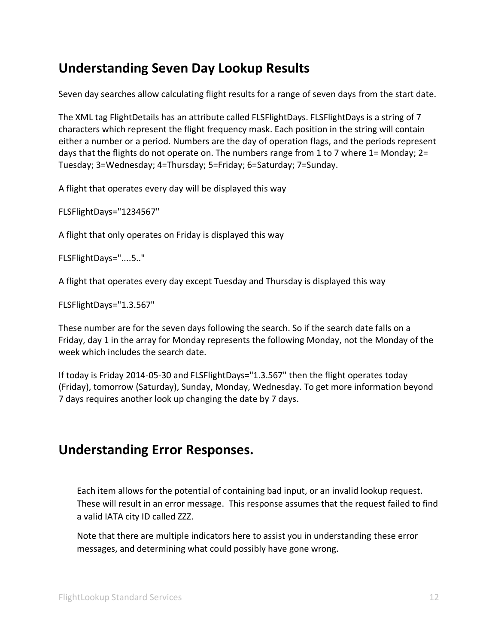### <span id="page-11-0"></span>**Understanding Seven Day Lookup Results**

Seven day searches allow calculating flight results for a range of seven days from the start date.

The XML tag FlightDetails has an attribute called FLSFlightDays. FLSFlightDays is a string of 7 characters which represent the flight frequency mask. Each position in the string will contain either a number or a period. Numbers are the day of operation flags, and the periods represent days that the flights do not operate on. The numbers range from 1 to 7 where 1= Monday; 2= Tuesday; 3=Wednesday; 4=Thursday; 5=Friday; 6=Saturday; 7=Sunday.

A flight that operates every day will be displayed this way

FLSFlightDays="1234567"

A flight that only operates on Friday is displayed this way

FLSFlightDays="....5.."

A flight that operates every day except Tuesday and Thursday is displayed this way

FLSFlightDays="1.3.567"

These number are for the seven days following the search. So if the search date falls on a Friday, day 1 in the array for Monday represents the following Monday, not the Monday of the week which includes the search date.

If today is Friday 2014-05-30 and FLSFlightDays="1.3.567" then the flight operates today (Friday), tomorrow (Saturday), Sunday, Monday, Wednesday. To get more information beyond 7 days requires another look up changing the date by 7 days.

### <span id="page-11-1"></span>**Understanding Error Responses.**

Each item allows for the potential of containing bad input, or an invalid lookup request. These will result in an error message. This response assumes that the request failed to find a valid IATA city ID called ZZZ.

Note that there are multiple indicators here to assist you in understanding these error messages, and determining what could possibly have gone wrong.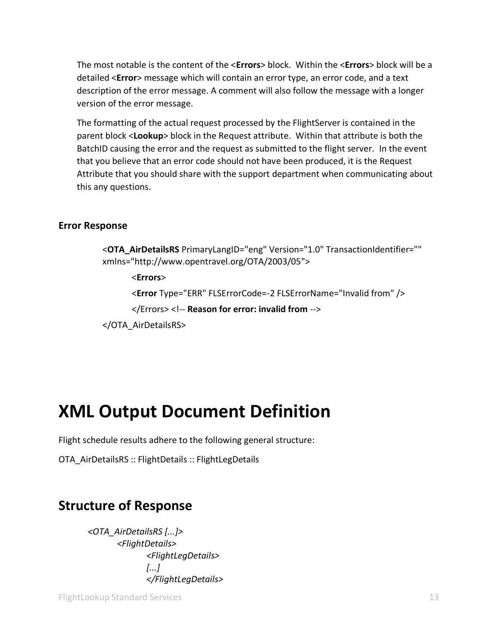The most notable is the content of the <**Errors**> block. Within the <**Errors**> block will be a detailed <**Error**> message which will contain an error type, an error code, and a text description of the error message. A comment will also follow the message with a longer version of the error message.

The formatting of the actual request processed by the FlightServer is contained in the parent block <**Lookup**> block in the Request attribute. Within that attribute is both the BatchID causing the error and the request as submitted to the flight server. In the event that you believe that an error code should not have been produced, it is the Request Attribute that you should share with the support department when communicating about this any questions.

### <span id="page-12-0"></span>**Error Response**

<**OTA\_AirDetailsRS** PrimaryLangID="eng" Version="1.0" TransactionIdentifier="" xmlns="http://www.opentravel.org/OTA/2003/05"> <**Errors**> <**Error** Type="ERR" FLSErrorCode=-2 FLSErrorName="Invalid from" /> </Errors> <!-- **Reason for error: invalid from** --> </OTA\_AirDetailsRS>

# <span id="page-12-1"></span>**XML Output Document Definition**

Flight schedule results adhere to the following general structure:

OTA\_AirDetailsRS :: FlightDetails :: FlightLegDetails

## <span id="page-12-2"></span>**Structure of Response**

*<OTA\_AirDetailsRS [...]> <FlightDetails> <FlightLegDetails> [...] </FlightLegDetails>*

FlightLookup Standard Services 13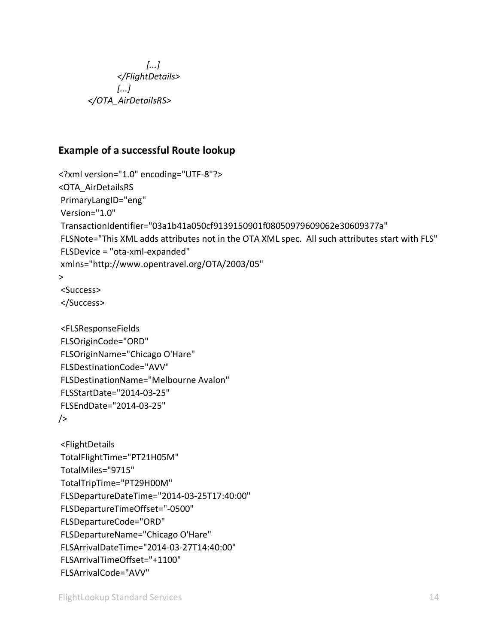*[...] </FlightDetails> [...] </OTA\_AirDetailsRS>*

### <span id="page-13-0"></span>**Example of a successful Route lookup**

```
<?xml version="1.0" encoding="UTF-8"?>
<OTA_AirDetailsRS
PrimaryLangID="eng"
Version="1.0"
TransactionIdentifier="03a1b41a050cf9139150901f08050979609062e30609377a"
FLSNote="This XML adds attributes not in the OTA XML spec. All such attributes start with FLS"
FLSDevice = "ota-xml-expanded"
xmlns="http://www.opentravel.org/OTA/2003/05"
>
<Success>
</Success>
<FLSResponseFields
FLSOriginCode="ORD"
FLSOriginName="Chicago O'Hare"
FLSDestinationCode="AVV"
FLSDestinationName="Melbourne Avalon"
FLSStartDate="2014-03-25"
FLSEndDate="2014-03-25" 
/>
<FlightDetails
TotalFlightTime="PT21H05M"
TotalMiles="9715"
TotalTripTime="PT29H00M"
FLSDepartureDateTime="2014-03-25T17:40:00"
FLSDepartureTimeOffset="-0500"
FLSDepartureCode="ORD"
FLSDepartureName="Chicago O'Hare"
FLSArrivalDateTime="2014-03-27T14:40:00"
FLSArrivalTimeOffset="+1100"
```

```
FLSArrivalCode="AVV"
```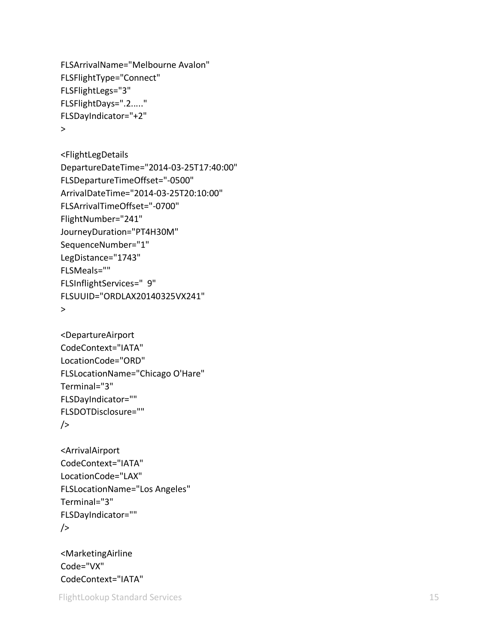```
FLSArrivalName="Melbourne Avalon"
FLSFlightType="Connect"
FLSFlightLegs="3"
FLSFlightDays=".2....."
FLSDayIndicator="+2" >
```

```
<FlightLegDetails
DepartureDateTime="2014
-03
-25T17:40:00"
FLSDepartureTimeOffset="
-0500"
ArrivalDateTime="2014
-03
-25T20:10:00"
FLSArrivalTimeOffset="
-0700"
FlightNumber="241"
JourneyDuration="PT4H30M"
SequenceNumber="1"
LegDistance="1743"
FLSMeals=""
FLSInflightServices=" 9"
FLSUUID="ORDLAX20140325VX241" >
```

```
<DepartureAirport
CodeContext="IATA"
LocationCode="ORD"
FLSLocationName="Chicago O'Hare"
Terminal="3"
FLSDayIndicator=""
FLSDOTDisclosure=""
/
```

```
<ArrivalAirport
CodeContext="IATA"
LocationCode="LAX"
FLSLocationName="Los Angeles"
Terminal="3"
FLSDayIndicator=""
/>
```
<MarketingAirline Code="VX" CodeContext="IATA"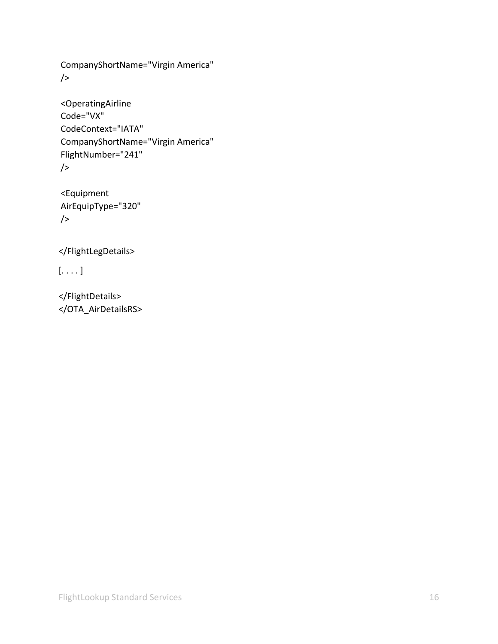CompanyShortName="Virgin America"  $/$ 

```
<OperatingAirline
Code="VX"
CodeContext="IATA"
CompanyShortName="Virgin America"
FlightNumber="241"
/
```

```
<Equipment
AirEquipType="320"
/
```
</FlightLegDetails>

 $[ \ldots ]$ 

</FlightDetails> </OTA\_AirDetailsRS>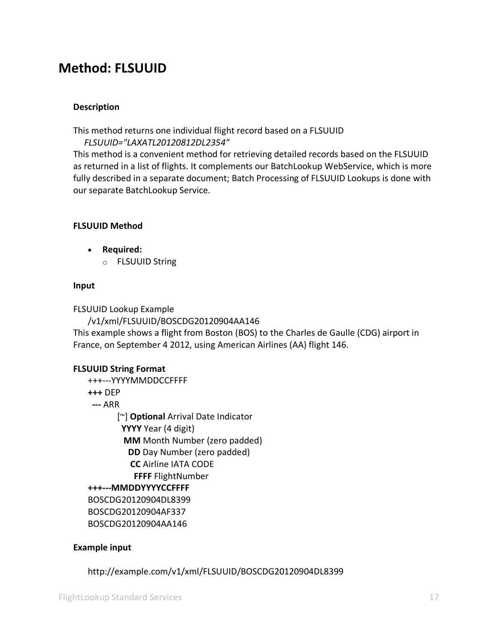### <span id="page-16-0"></span>**Method: FLSUUID**

### **Description**

This method returns one individual flight record based on a FLSUUID *FLSUUID="LAXATL20120812DL2354"*

This method is a convenient method for retrieving detailed records based on the FLSUUID as returned in a list of flights. It complements our BatchLookup WebService, which is more fully described in a separate document; Batch Processing of FLSUUID Lookups is done with our separate BatchLookup Service.

### **FLSUUID Method**

- **Required:**
	- o FLSUUID String

#### **Input**

FLSUUID Lookup Example

/v1/xml/FLSUUID/BOSCDG20120904AA146

This example shows a flight from Boston (BOS) to the Charles de Gaulle (CDG) airport in France, on September 4 2012, using American Airlines (AA) flight 146.

#### **FLSUUID String Format**

- +++---YYYYMMDDCCFFFF **+++** DEP
- **---** ARR

[~] **Optional** Arrival Date Indicator **YYYY** Year (4 digit) **MM** Month Number (zero padded) **DD** Day Number (zero padded) **CC** Airline IATA CODE **FFFF** FlightNumber **+++---MMDDYYYYCCFFFF** BOSCDG20120904DL8399 BOSCDG20120904AF337 BOSCDG20120904AA146

#### **Example input**

http://example.com/v1/xml/FLSUUID/BOSCDG20120904DL8399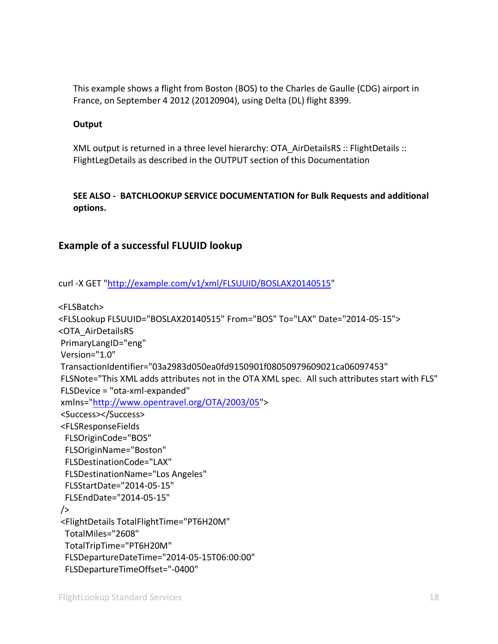This example shows a flight from Boston (BOS) to the Charles de Gaulle (CDG) airport in France, on September 4 2012 (20120904), using Delta (DL) flight 8399.

#### **Output**

XML output is returned in a three level hierarchy: OTA\_AirDetailsRS :: FlightDetails :: FlightLegDetails as described in the OUTPUT section of this Documentation

### **SEE ALSO - BATCHLOOKUP SERVICE DOCUMENTATION for Bulk Requests and additional options.**

### <span id="page-17-0"></span>**Example of a successful FLUUID lookup**

curl -X GET ["http://example.com/v1/xml/FLSUUID/BOSLAX20140515"](http://example.com/v1/xml/FLSUUID/BOSLAX20140515,BOSCDG20140616)

<FLSBatch> <FLSLookup FLSUUID="BOSLAX20140515" From="BOS" To="LAX" Date="2014-05-15"> <OTA\_AirDetailsRS PrimaryLangID="eng" Version="1.0" TransactionIdentifier="03a2983d050ea0fd9150901f08050979609021ca06097453" FLSNote="This XML adds attributes not in the OTA XML spec. All such attributes start with FLS" FLSDevice = "ota-xml-expanded" xmlns=["http://www.opentravel.org/OTA/2003/05"](http://www.opentravel.org/OTA/2003/05)> <Success></Success> <FLSResponseFields FLSOriginCode="BOS" FLSOriginName="Boston" FLSDestinationCode="LAX" FLSDestinationName="Los Angeles" FLSStartDate="2014-05-15" FLSEndDate="2014-05-15"  $/$ <FlightDetails TotalFlightTime="PT6H20M" TotalMiles="2608" TotalTripTime="PT6H20M" FLSDepartureDateTime="2014-05-15T06:00:00" FLSDepartureTimeOffset="-0400"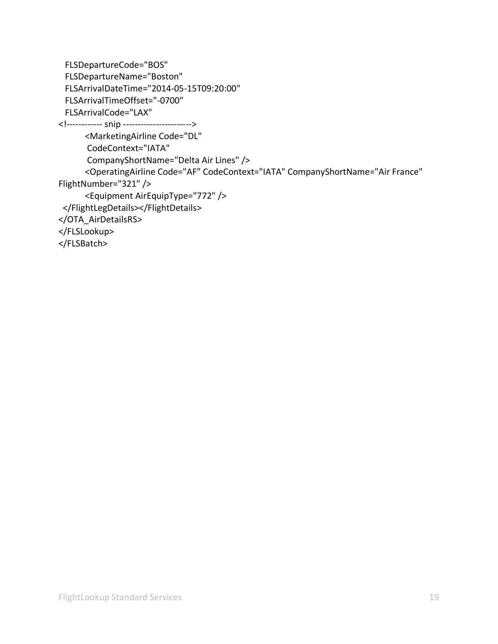```
FLSDepartureCode="BOS"
 FLSDepartureName="Boston"
 FLSArrivalDateTime="2014-05-15T09:20:00"
 FLSArrivalTimeOffset="-0700"
 FLSArrivalCode="LAX"
<!------------ snip ----------------------->
       <MarketingAirline Code="DL"
       CodeContext="IATA"
       CompanyShortName="Delta Air Lines" />
       <OperatingAirline Code="AF" CodeContext="IATA" CompanyShortName="Air France" 
FlightNumber="321" />
       <Equipment AirEquipType="772" />
 </FlightLegDetails></FlightDetails>
</OTA_AirDetailsRS>
</FLSLookup>
</FLSBatch>
```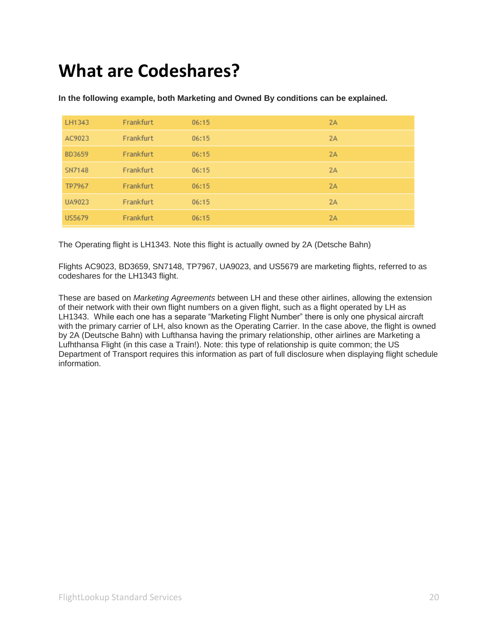# <span id="page-19-0"></span>**What are Codeshares?**

| LH1343        | Frankfurt | 06:15 | 2A |
|---------------|-----------|-------|----|
| AC9023        | Frankfurt | 06:15 | 2A |
| BD3659        | Frankfurt | 06:15 | 2A |
| SN7148        | Frankfurt | 06:15 | 2A |
| TP7967        | Frankfurt | 06:15 | 2A |
| UA9023        | Frankfurt | 06:15 | 2A |
| <b>US5679</b> | Frankfurt | 06:15 | 2A |

**In the following example, both Marketing and Owned By conditions can be explained.** 

The Operating flight is LH1343. Note this flight is actually owned by 2A (Detsche Bahn)

Flights AC9023, BD3659, SN7148, TP7967, UA9023, and US5679 are marketing flights, referred to as codeshares for the LH1343 flight.

These are based on *Marketing Agreements* between LH and these other airlines, allowing the extension of their network with their own flight numbers on a given flight, such as a flight operated by LH as LH1343. While each one has a separate "Marketing Flight Number" there is only one physical aircraft with the primary carrier of LH, also known as the Operating Carrier. In the case above, the flight is owned by 2A (Deutsche Bahn) with Lufthansa having the primary relationship, other airlines are Marketing a Lufhthansa Flight (in this case a Train!). Note: this type of relationship is quite common; the US Department of Transport requires this information as part of full disclosure when displaying flight schedule information.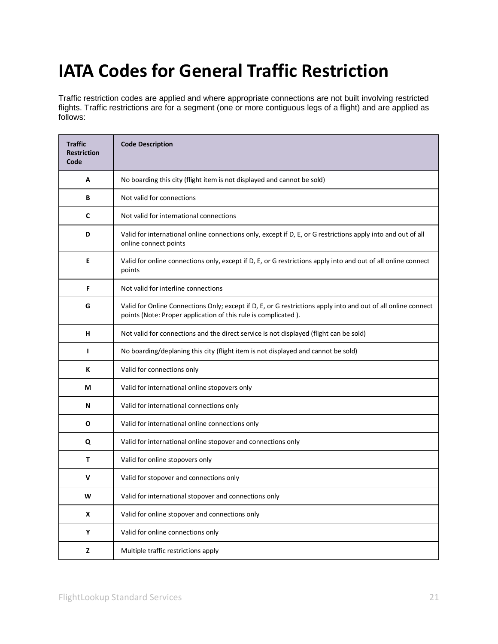# <span id="page-20-0"></span>**IATA Codes for General Traffic Restriction**

Traffic restriction codes are applied and where appropriate connections are not built involving restricted flights. Traffic restrictions are for a segment (one or more contiguous legs of a flight) and are applied as follows:

| <b>Traffic</b><br><b>Restriction</b><br>Code | <b>Code Description</b>                                                                                                                                                         |
|----------------------------------------------|---------------------------------------------------------------------------------------------------------------------------------------------------------------------------------|
| A                                            | No boarding this city (flight item is not displayed and cannot be sold)                                                                                                         |
| B                                            | Not valid for connections                                                                                                                                                       |
| $\mathbf c$                                  | Not valid for international connections                                                                                                                                         |
| D                                            | Valid for international online connections only, except if D, E, or G restrictions apply into and out of all<br>online connect points                                           |
| E                                            | Valid for online connections only, except if D, E, or G restrictions apply into and out of all online connect<br>points                                                         |
| F                                            | Not valid for interline connections                                                                                                                                             |
| G                                            | Valid for Online Connections Only; except if D, E, or G restrictions apply into and out of all online connect<br>points (Note: Proper application of this rule is complicated). |
| н                                            | Not valid for connections and the direct service is not displayed (flight can be sold)                                                                                          |
| г                                            | No boarding/deplaning this city (flight item is not displayed and cannot be sold)                                                                                               |
| К                                            | Valid for connections only                                                                                                                                                      |
| М                                            | Valid for international online stopovers only                                                                                                                                   |
| N                                            | Valid for international connections only                                                                                                                                        |
| O                                            | Valid for international online connections only                                                                                                                                 |
| Q                                            | Valid for international online stopover and connections only                                                                                                                    |
| T                                            | Valid for online stopovers only                                                                                                                                                 |
| V                                            | Valid for stopover and connections only                                                                                                                                         |
| W                                            | Valid for international stopover and connections only                                                                                                                           |
| X                                            | Valid for online stopover and connections only                                                                                                                                  |
| Y                                            | Valid for online connections only                                                                                                                                               |
| z                                            | Multiple traffic restrictions apply                                                                                                                                             |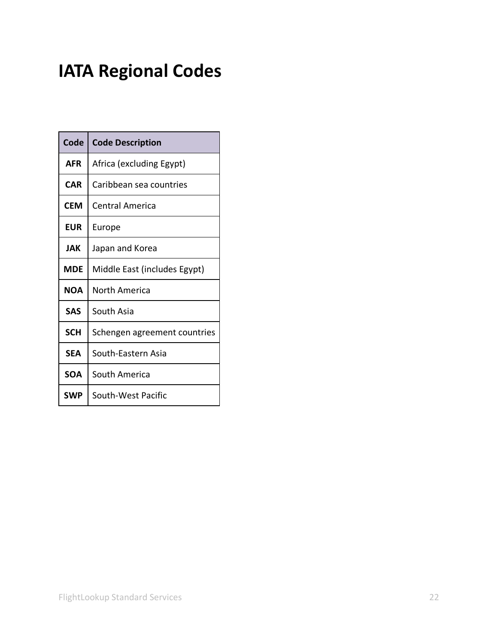# <span id="page-21-0"></span>**IATA Regional Codes**

| Code       | <b>Code Description</b>      |
|------------|------------------------------|
| <b>AFR</b> | Africa (excluding Egypt)     |
| <b>CAR</b> | Caribbean sea countries      |
| CEM        | Central America              |
| <b>EUR</b> | Europe                       |
| JAK.       | Japan and Korea              |
| MDE        | Middle East (includes Egypt) |
| <b>NOA</b> | North America                |
| SAS        | South Asia                   |
| <b>SCH</b> | Schengen agreement countries |
| <b>SEA</b> | South-Eastern Asia           |
| <b>SOA</b> | South America                |
| SWP        | South-West Pacific           |